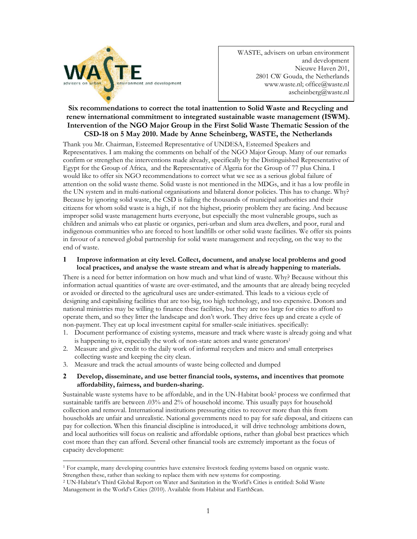

WASTE, advisers on urban environment and development Nieuwe Haven 201, 2801 CW Gouda, the Netherlands www.waste.nl; office@waste.nl ascheinberg@waste.nl

# **Six recommendations to correct the total inattention to Solid Waste and Recycling and renew international commitment to integrated sustainable waste management (ISWM). Intervention of the NGO Major Group in the First Solid Waste Thematic Session of the CSD-18 on 5 May 2010. Made by Anne Scheinberg, WASTE, the Netherlands**

Thank you Mr. Chairman, Esteemed Representative of UNDESA, Esteemed Speakers and Representatives. I am making the comments on behalf of the NGO Major Group. Many of our remarks confirm or strengthen the interventions made already, specifically by the Distinguished Representative of Egypt for the Group of Africa, and the Representative of Algeria for the Group of 77 plus China. I would like to offer six NGO recommendations to correct what we see as a serious global failure of attention on the solid waste theme. Solid waste is not mentioned in the MDGs, and it has a low profile in the UN system and in multi-national organisations and bilateral donor policies. This has to change. Why? Because by ignoring solid waste, the CSD is failing the thousands of municipal authorities and their citizens for whom solid waste is a high, if not the highest, priority problem they are facing. And because improper solid waste management hurts everyone, but especially the most vulnerable groups, such as children and animals who eat plastic or organics, peri-urban and slum area dwellers, and poor, rural and indigenous communities who are forced to host landfills or other solid waste facilities. We offer six points in favour of a renewed global partnership for solid waste management and recycling, on the way to the end of waste.

### **1 Improve information at city level. Collect, document, and analyse local problems and good local practices, and analyse the waste stream and what is already happening to materials.**

There is a need for better information on how much and what kind of waste. Why? Because without this information actual quantities of waste are over-estimated, and the amounts that are already being recycled or avoided or directed to the agricultural uses are under-estimated. This leads to a vicious cycle of designing and capitalising facilities that are too big, too high technology, and too expensive. Donors and national ministries may be willing to finance these facilities, but they are too large for cities to afford to operate them, and so they litter the landscape and don't work. They drive fees up and create a cycle of non-payment. They eat up local investment capital for smaller-scale initiatives. specifically:

- 1. Document performance of existing systems, measure and track where waste is already going and what is happening to it, especially the work of non-state actors and waste generators<sup>1</sup>
- 2. Measure and give credit to the daily work of informal recyclers and micro and small enterprises collecting waste and keeping the city clean.
- 3. Measure and track the actual amounts of waste being collected and dumped

# **2 Develop, disseminate, and use better financial tools, systems, and incentives that promote affordability, fairness, and burden-sharing.**

Sustainable waste systems have to be affordable, and in the UN-Habitat book<sup>2</sup> process we confirmed that sustainable tariffs are between .03% and 2% of household income. This usually pays for household collection and removal. International institutions pressuring cities to recover more than this from households are unfair and unrealistic. National governments need to pay for safe disposal, and citizens can pay for collection. When this financial discipline is introduced, it will drive technology ambitions down, and local authorities will focus on realistic and affordable options, rather than global best practices which cost more than they can afford. Several other financial tools are extremely important as the focus of capacity development:

<sup>-</sup>1 For example, many developing countries have extensive livestock feeding systems based on organic waste. Strengthen these, rather than seeking to replace them with new systems for composting.

<sup>2</sup> UN-Habitat's Third Global Report on Water and Sanitation in the World's Cities is entitled: Solid Waste Management in the World's Cities (2010). Available from Habitat and EarthScan.